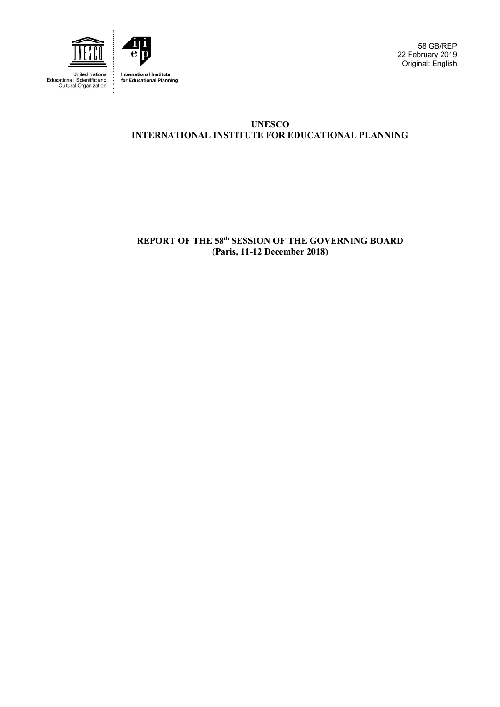

United Nations<br>Educational, Scientific and<br>Cultural Organization



58 GB/REP 22 February 2019 Original: English

# **UNESCO INTERNATIONAL INSTITUTE FOR EDUCATIONAL PLANNING**

**REPORT OF THE 58th SESSION OF THE GOVERNING BOARD (Paris, 11-12 December 2018)**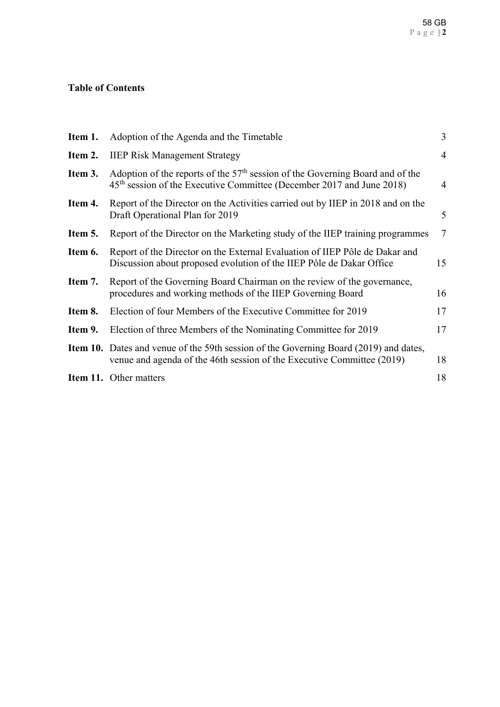# **Table of Contents**

| Item 1. | Adoption of the Agenda and the Timetable                                                                                                                               | 3              |
|---------|------------------------------------------------------------------------------------------------------------------------------------------------------------------------|----------------|
| Item 2. | <b>IIEP Risk Management Strategy</b>                                                                                                                                   | $\overline{4}$ |
| Item 3. | Adoption of the reports of the $57th$ session of the Governing Board and of the<br>$45th$ session of the Executive Committee (December 2017 and June 2018)             | $\overline{4}$ |
| Item 4. | Report of the Director on the Activities carried out by IIEP in 2018 and on the<br>Draft Operational Plan for 2019                                                     | 5              |
| Item 5. | Report of the Director on the Marketing study of the IIEP training programmes                                                                                          | $\overline{7}$ |
| Item 6. | Report of the Director on the External Evaluation of IIEP Pôle de Dakar and<br>Discussion about proposed evolution of the IIEP Pôle de Dakar Office                    | 15             |
| Item 7. | Report of the Governing Board Chairman on the review of the governance,<br>procedures and working methods of the IIEP Governing Board                                  | 16             |
| Item 8. | Election of four Members of the Executive Committee for 2019                                                                                                           | 17             |
| Item 9. | Election of three Members of the Nominating Committee for 2019                                                                                                         | 17             |
|         | <b>Item 10.</b> Dates and venue of the 59th session of the Governing Board (2019) and dates,<br>venue and agenda of the 46th session of the Executive Committee (2019) | 18             |
|         | <b>Item 11.</b> Other matters                                                                                                                                          | 18             |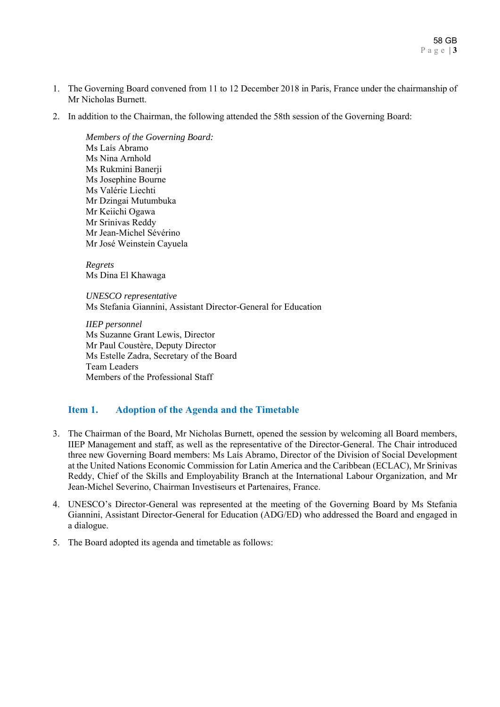- 1. The Governing Board convened from 11 to 12 December 2018 in Paris, France under the chairmanship of Mr Nicholas Burnett.
- 2. In addition to the Chairman, the following attended the 58th session of the Governing Board:

*Members of the Governing Board:*  Ms Laís Abramo Ms Nina Arnhold Ms Rukmini Banerji Ms Josephine Bourne Ms Valérie Liechti Mr Dzingai Mutumbuka Mr Keiichi Ogawa Mr Srinivas Reddy Mr Jean-Michel Sévérino Mr José Weinstein Cayuela

*Regrets*  Ms Dina El Khawaga

*UNESCO representative*  Ms Stefania Giannini, Assistant Director-General for Education

*IIEP personnel*  Ms Suzanne Grant Lewis, Director Mr Paul Coustère, Deputy Director Ms Estelle Zadra, Secretary of the Board Team Leaders Members of the Professional Staff

# **Item 1. Adoption of the Agenda and the Timetable**

- 3. The Chairman of the Board, Mr Nicholas Burnett, opened the session by welcoming all Board members, IIEP Management and staff, as well as the representative of the Director-General. The Chair introduced three new Governing Board members: Ms Laís Abramo, Director of the Division of Social Development at the United Nations Economic Commission for Latin America and the Caribbean (ECLAC), Mr Srinivas Reddy, Chief of the Skills and Employability Branch at the International Labour Organization, and Mr Jean-Michel Severino, Chairman Investiseurs et Partenaires, France.
- 4. UNESCO's Director-General was represented at the meeting of the Governing Board by Ms Stefania Giannini, Assistant Director-General for Education (ADG/ED) who addressed the Board and engaged in a dialogue.
- 5. The Board adopted its agenda and timetable as follows: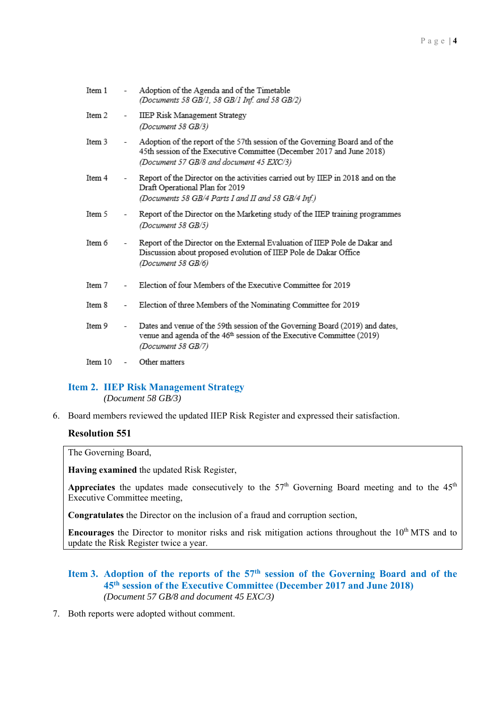| Item 1  |                          | Adoption of the Agenda and of the Timetable<br>(Documents 58 GB/1, 58 GB/1 Inf. and 58 GB/2)                                                                                                      |
|---------|--------------------------|---------------------------------------------------------------------------------------------------------------------------------------------------------------------------------------------------|
| Item 2  | $\overline{\phantom{0}}$ | IIEP Risk Management Strategy<br>(Document 58 GB/3)                                                                                                                                               |
| Item 3  | $\overline{\phantom{a}}$ | Adoption of the report of the 57th session of the Governing Board and of the<br>45th session of the Executive Committee (December 2017 and June 2018)<br>(Document 57 GB/8 and document 45 EXC/3) |
| Item 4  | $\overline{\phantom{0}}$ | Report of the Director on the activities carried out by IIEP in 2018 and on the<br>Draft Operational Plan for 2019<br>(Documents 58 GB/4 Parts I and II and 58 GB/4 Inf.)                         |
| Item 5  |                          | Report of the Director on the Marketing study of the IIEP training programmes<br>(Document 58 GB/5)                                                                                               |
| Ttem 6  |                          | Report of the Director on the External Evaluation of IIEP Pole de Dakar and<br>Discussion about proposed evolution of IIEP Pole de Dakar Office<br>(Document 58 GB/6)                             |
| Item 7  | $\overline{\phantom{0}}$ | Election of four Members of the Executive Committee for 2019                                                                                                                                      |
| Item 8  |                          | Election of three Members of the Nominating Committee for 2019                                                                                                                                    |
| Ttem 9  | $\overline{\phantom{a}}$ | Dates and venue of the 59th session of the Governing Board (2019) and dates,<br>venue and agenda of the 46 <sup>th</sup> session of the Executive Committee (2019)<br>(Document 58 GB/7)          |
| Item 10 | -                        | Other matters                                                                                                                                                                                     |

## **Item 2. IIEP Risk Management Strategy**

*(Document 58 GB/3)* 

6. Board members reviewed the updated IIEP Risk Register and expressed their satisfaction.

## **Resolution 551**

The Governing Board,

**Having examined** the updated Risk Register,

Appreciates the updates made consecutively to the 57<sup>th</sup> Governing Board meeting and to the 45<sup>th</sup> Executive Committee meeting,

**Congratulates** the Director on the inclusion of a fraud and corruption section,

**Encourages** the Director to monitor risks and risk mitigation actions throughout the 10<sup>th</sup> MTS and to update the Risk Register twice a year.

## Item 3. Adoption of the reports of the 57<sup>th</sup> session of the Governing Board and of the **45th session of the Executive Committee (December 2017 and June 2018)**  *(Document 57 GB/8 and document 45 EXC/3)*

7. Both reports were adopted without comment.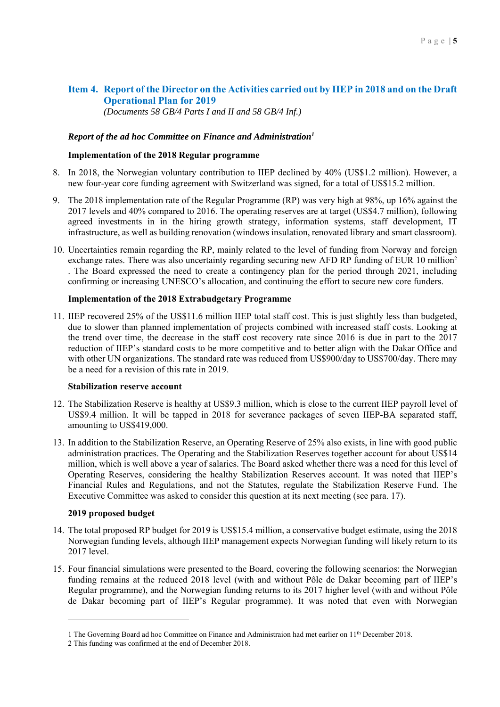# **Item 4. Report of the Director on the Activities carried out by IIEP in 2018 and on the Draft Operational Plan for 2019**

*(Documents 58 GB/4 Parts I and II and 58 GB/4 Inf.)* 

### *Report of the ad hoc Committee on Finance and Administration1*

### **Implementation of the 2018 Regular programme**

- 8. In 2018, the Norwegian voluntary contribution to IIEP declined by 40% (US\$1.2 million). However, a new four-year core funding agreement with Switzerland was signed, for a total of US\$15.2 million.
- 9. The 2018 implementation rate of the Regular Programme (RP) was very high at 98%, up 16% against the 2017 levels and 40% compared to 2016. The operating reserves are at target (US\$4.7 million), following agreed investments in in the hiring growth strategy, information systems, staff development, IT infrastructure, as well as building renovation (windows insulation, renovated library and smart classroom).
- 10. Uncertainties remain regarding the RP, mainly related to the level of funding from Norway and foreign exchange rates. There was also uncertainty regarding securing new AFD RP funding of EUR 10 million<sup>2</sup> . The Board expressed the need to create a contingency plan for the period through 2021, including confirming or increasing UNESCO's allocation, and continuing the effort to secure new core funders.

#### **Implementation of the 2018 Extrabudgetary Programme**

11. IIEP recovered 25% of the US\$11.6 million IIEP total staff cost. This is just slightly less than budgeted, due to slower than planned implementation of projects combined with increased staff costs. Looking at the trend over time, the decrease in the staff cost recovery rate since 2016 is due in part to the 2017 reduction of IIEP's standard costs to be more competitive and to better align with the Dakar Office and with other UN organizations. The standard rate was reduced from US\$900/day to US\$700/day. There may be a need for a revision of this rate in 2019.

#### **Stabilization reserve account**

- 12. The Stabilization Reserve is healthy at US\$9.3 million, which is close to the current IIEP payroll level of US\$9.4 million. It will be tapped in 2018 for severance packages of seven IIEP-BA separated staff, amounting to US\$419,000.
- 13. In addition to the Stabilization Reserve, an Operating Reserve of 25% also exists, in line with good public administration practices. The Operating and the Stabilization Reserves together account for about US\$14 million, which is well above a year of salaries. The Board asked whether there was a need for this level of Operating Reserves, considering the healthy Stabilization Reserves account. It was noted that IIEP's Financial Rules and Regulations, and not the Statutes, regulate the Stabilization Reserve Fund. The Executive Committee was asked to consider this question at its next meeting (see para. 17).

#### **2019 proposed budget**

<u>.</u>

- 14. The total proposed RP budget for 2019 is US\$15.4 million, a conservative budget estimate, using the 2018 Norwegian funding levels, although IIEP management expects Norwegian funding will likely return to its 2017 level.
- 15. Four financial simulations were presented to the Board, covering the following scenarios: the Norwegian funding remains at the reduced 2018 level (with and without Pôle de Dakar becoming part of IIEP's Regular programme), and the Norwegian funding returns to its 2017 higher level (with and without Pôle de Dakar becoming part of IIEP's Regular programme). It was noted that even with Norwegian

<sup>1</sup> The Governing Board ad hoc Committee on Finance and Administraion had met earlier on 11th December 2018.

<sup>2</sup> This funding was confirmed at the end of December 2018.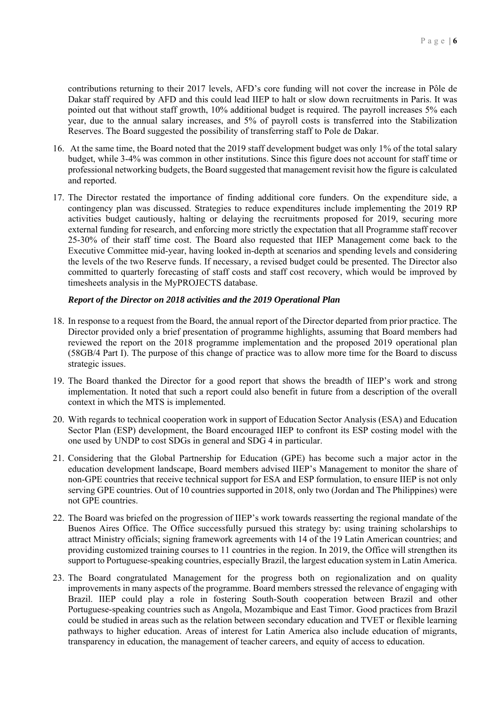contributions returning to their 2017 levels, AFD's core funding will not cover the increase in Pôle de Dakar staff required by AFD and this could lead IIEP to halt or slow down recruitments in Paris. It was pointed out that without staff growth, 10% additional budget is required. The payroll increases 5% each year, due to the annual salary increases, and 5% of payroll costs is transferred into the Stabilization Reserves. The Board suggested the possibility of transferring staff to Pole de Dakar.

- 16. At the same time, the Board noted that the 2019 staff development budget was only 1% of the total salary budget, while 3-4% was common in other institutions. Since this figure does not account for staff time or professional networking budgets, the Board suggested that management revisit how the figure is calculated and reported.
- 17. The Director restated the importance of finding additional core funders. On the expenditure side, a contingency plan was discussed. Strategies to reduce expenditures include implementing the 2019 RP activities budget cautiously, halting or delaying the recruitments proposed for 2019, securing more external funding for research, and enforcing more strictly the expectation that all Programme staff recover 25-30% of their staff time cost. The Board also requested that IIEP Management come back to the Executive Committee mid-year, having looked in-depth at scenarios and spending levels and considering the levels of the two Reserve funds. If necessary, a revised budget could be presented. The Director also committed to quarterly forecasting of staff costs and staff cost recovery, which would be improved by timesheets analysis in the MyPROJECTS database.

#### *Report of the Director on 2018 activities and the 2019 Operational Plan*

- 18. In response to a request from the Board, the annual report of the Director departed from prior practice. The Director provided only a brief presentation of programme highlights, assuming that Board members had reviewed the report on the 2018 programme implementation and the proposed 2019 operational plan (58GB/4 Part I). The purpose of this change of practice was to allow more time for the Board to discuss strategic issues.
- 19. The Board thanked the Director for a good report that shows the breadth of IIEP's work and strong implementation. It noted that such a report could also benefit in future from a description of the overall context in which the MTS is implemented.
- 20. With regards to technical cooperation work in support of Education Sector Analysis (ESA) and Education Sector Plan (ESP) development, the Board encouraged IIEP to confront its ESP costing model with the one used by UNDP to cost SDGs in general and SDG 4 in particular.
- 21. Considering that the Global Partnership for Education (GPE) has become such a major actor in the education development landscape, Board members advised IIEP's Management to monitor the share of non-GPE countries that receive technical support for ESA and ESP formulation, to ensure IIEP is not only serving GPE countries. Out of 10 countries supported in 2018, only two (Jordan and The Philippines) were not GPE countries.
- 22. The Board was briefed on the progression of IIEP's work towards reasserting the regional mandate of the Buenos Aires Office. The Office successfully pursued this strategy by: using training scholarships to attract Ministry officials; signing framework agreements with 14 of the 19 Latin American countries; and providing customized training courses to 11 countries in the region. In 2019, the Office will strengthen its support to Portuguese-speaking countries, especially Brazil, the largest education system in Latin America.
- 23. The Board congratulated Management for the progress both on regionalization and on quality improvements in many aspects of the programme. Board members stressed the relevance of engaging with Brazil. IIEP could play a role in fostering South-South cooperation between Brazil and other Portuguese-speaking countries such as Angola, Mozambique and East Timor. Good practices from Brazil could be studied in areas such as the relation between secondary education and TVET or flexible learning pathways to higher education. Areas of interest for Latin America also include education of migrants, transparency in education, the management of teacher careers, and equity of access to education.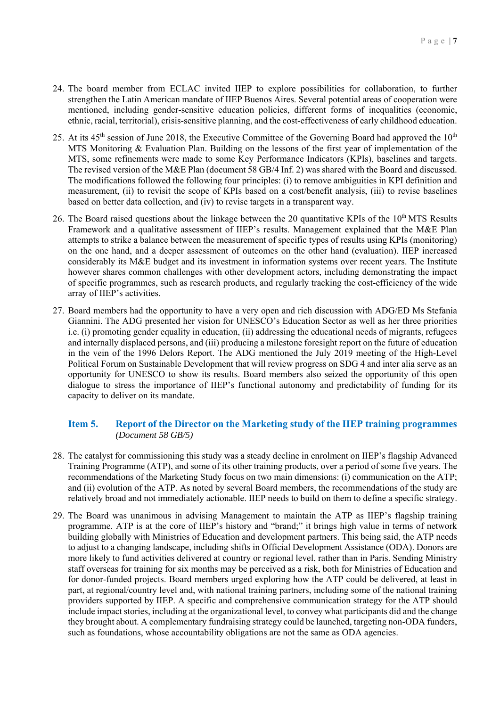- 24. The board member from ECLAC invited IIEP to explore possibilities for collaboration, to further strengthen the Latin American mandate of IIEP Buenos Aires. Several potential areas of cooperation were mentioned, including gender-sensitive education policies, different forms of inequalities (economic, ethnic, racial, territorial), crisis-sensitive planning, and the cost-effectiveness of early childhood education.
- 25. At its  $45<sup>th</sup>$  session of June 2018, the Executive Committee of the Governing Board had approved the  $10<sup>th</sup>$ MTS Monitoring & Evaluation Plan. Building on the lessons of the first year of implementation of the MTS, some refinements were made to some Key Performance Indicators (KPIs), baselines and targets. The revised version of the M&E Plan (document 58 GB/4 Inf. 2) was shared with the Board and discussed. The modifications followed the following four principles: (i) to remove ambiguities in KPI definition and measurement, (ii) to revisit the scope of KPIs based on a cost/benefit analysis, (iii) to revise baselines based on better data collection, and (iv) to revise targets in a transparent way.
- 26. The Board raised questions about the linkage between the 20 quantitative KPIs of the  $10<sup>th</sup> MTS$  Results Framework and a qualitative assessment of IIEP's results. Management explained that the M&E Plan attempts to strike a balance between the measurement of specific types of results using KPIs (monitoring) on the one hand, and a deeper assessment of outcomes on the other hand (evaluation). IIEP increased considerably its M&E budget and its investment in information systems over recent years. The Institute however shares common challenges with other development actors, including demonstrating the impact of specific programmes, such as research products, and regularly tracking the cost-efficiency of the wide array of IIEP's activities.
- 27. Board members had the opportunity to have a very open and rich discussion with ADG/ED Ms Stefania Giannini. The ADG presented her vision for UNESCO's Education Sector as well as her three priorities i.e. (i) promoting gender equality in education, (ii) addressing the educational needs of migrants, refugees and internally displaced persons, and (iii) producing a milestone foresight report on the future of education in the vein of the 1996 Delors Report. The ADG mentioned the July 2019 meeting of the High-Level Political Forum on Sustainable Development that will review progress on SDG 4 and inter alia serve as an opportunity for UNESCO to show its results. Board members also seized the opportunity of this open dialogue to stress the importance of IIEP's functional autonomy and predictability of funding for its capacity to deliver on its mandate.

### **Item 5. Report of the Director on the Marketing study of the IIEP training programmes**   *(Document 58 GB/5)*

- 28. The catalyst for commissioning this study was a steady decline in enrolment on IIEP's flagship Advanced Training Programme (ATP), and some of its other training products, over a period of some five years. The recommendations of the Marketing Study focus on two main dimensions: (i) communication on the ATP; and (ii) evolution of the ATP. As noted by several Board members, the recommendations of the study are relatively broad and not immediately actionable. IIEP needs to build on them to define a specific strategy.
- 29. The Board was unanimous in advising Management to maintain the ATP as IIEP's flagship training programme. ATP is at the core of IIEP's history and "brand;" it brings high value in terms of network building globally with Ministries of Education and development partners. This being said, the ATP needs to adjust to a changing landscape, including shifts in Official Development Assistance (ODA). Donors are more likely to fund activities delivered at country or regional level, rather than in Paris. Sending Ministry staff overseas for training for six months may be perceived as a risk, both for Ministries of Education and for donor-funded projects. Board members urged exploring how the ATP could be delivered, at least in part, at regional/country level and, with national training partners, including some of the national training providers supported by IIEP. A specific and comprehensive communication strategy for the ATP should include impact stories, including at the organizational level, to convey what participants did and the change they brought about. A complementary fundraising strategy could be launched, targeting non-ODA funders, such as foundations, whose accountability obligations are not the same as ODA agencies.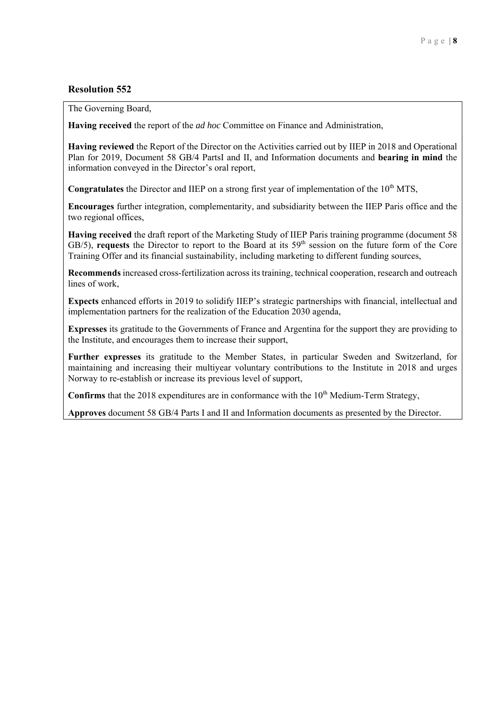The Governing Board,

**Having received** the report of the *ad hoc* Committee on Finance and Administration,

**Having reviewed** the Report of the Director on the Activities carried out by IIEP in 2018 and Operational Plan for 2019, Document 58 GB/4 PartsI and II, and Information documents and **bearing in mind** the information conveyed in the Director's oral report,

**Congratulates** the Director and IIEP on a strong first year of implementation of the 10<sup>th</sup> MTS,

**Encourages** further integration, complementarity, and subsidiarity between the IIEP Paris office and the two regional offices,

**Having received** the draft report of the Marketing Study of IIEP Paris training programme (document 58  $GB/5$ ), **requests** the Director to report to the Board at its  $59<sup>th</sup>$  session on the future form of the Core Training Offer and its financial sustainability, including marketing to different funding sources,

**Recommends** increased cross-fertilization across its training, technical cooperation, research and outreach lines of work,

**Expects** enhanced efforts in 2019 to solidify IIEP's strategic partnerships with financial, intellectual and implementation partners for the realization of the Education 2030 agenda,

**Expresses** its gratitude to the Governments of France and Argentina for the support they are providing to the Institute, and encourages them to increase their support,

**Further expresses** its gratitude to the Member States, in particular Sweden and Switzerland, for maintaining and increasing their multiyear voluntary contributions to the Institute in 2018 and urges Norway to re-establish or increase its previous level of support,

**Confirms** that the 2018 expenditures are in conformance with the  $10<sup>th</sup>$  Medium-Term Strategy,

**Approves** document 58 GB/4 Parts I and II and Information documents as presented by the Director.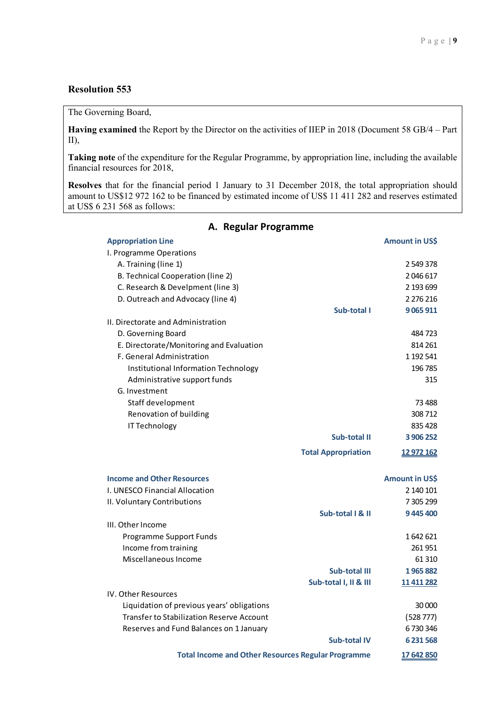#### The Governing Board,

**Having examined** the Report by the Director on the activities of IIEP in 2018 (Document 58 GB/4 – Part II),

**Taking note** of the expenditure for the Regular Programme, by appropriation line, including the available financial resources for 2018,

**Resolves** that for the financial period 1 January to 31 December 2018, the total appropriation should amount to US\$12 972 162 to be financed by estimated income of US\$ 11 411 282 and reserves estimated at US\$ 6 231 568 as follows:

| <b>Appropriation Line</b>                                 |                            | Amount in US\$ |
|-----------------------------------------------------------|----------------------------|----------------|
| I. Programme Operations                                   |                            |                |
| A. Training (line 1)                                      |                            | 2 549 378      |
| B. Technical Cooperation (line 2)                         |                            | 2046617        |
| C. Research & Develpment (line 3)                         |                            | 2 193 699      |
| D. Outreach and Advocacy (line 4)                         |                            | 2 276 216      |
|                                                           | Sub-total I                | 9 0 65 9 11    |
| II. Directorate and Administration                        |                            |                |
| D. Governing Board                                        |                            | 484723         |
| E. Directorate/Monitoring and Evaluation                  |                            | 814 261        |
| F. General Administration                                 |                            | 1 192 541      |
| Institutional Information Technology                      |                            | 196 785        |
| Administrative support funds                              |                            | 315            |
| G. Investment                                             |                            |                |
| Staff development                                         |                            | 73 4 8 8       |
| Renovation of building                                    |                            | 308712         |
| IT Technology                                             |                            | 835 428        |
|                                                           | Sub-total II               | 3 906 252      |
|                                                           | <b>Total Appropriation</b> | 12 972 162     |
| <b>Income and Other Resources</b>                         |                            | Amount in US\$ |
| I. UNESCO Financial Allocation                            |                            | 2 140 101      |
| II. Voluntary Contributions                               |                            | 7 305 299      |
|                                                           | Sub-total   & II           | 9445400        |
| III. Other Income                                         |                            |                |
| Programme Support Funds                                   |                            | 1642621        |
| Income from training                                      |                            | 261951         |
| Miscellaneous Income                                      |                            | 61 310         |
|                                                           | Sub-total III              | 1965882        |
|                                                           | Sub-total I, II & III      | 11 411 282     |
| <b>IV. Other Resources</b>                                |                            |                |
| Liquidation of previous years' obligations                |                            | 30 000         |
| <b>Transfer to Stabilization Reserve Account</b>          |                            | (528 777)      |
| Reserves and Fund Balances on 1 January                   |                            | 6730346        |
|                                                           | <b>Sub-total IV</b>        | 6 231 568      |
| <b>Total Income and Other Resources Regular Programme</b> |                            | 17 642 850     |

## **A. Regular Programme**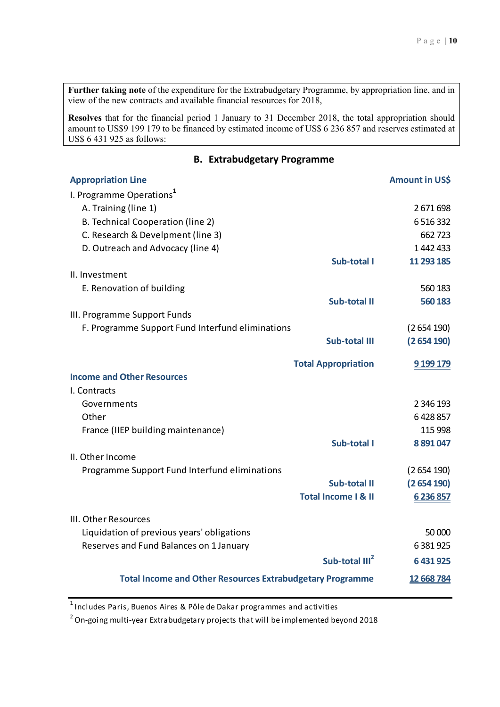**Further taking note** of the expenditure for the Extrabudgetary Programme, by appropriation line, and in view of the new contracts and available financial resources for 2018,

**Resolves** that for the financial period 1 January to 31 December 2018, the total appropriation should amount to US\$9 199 179 to be financed by estimated income of US\$ 6 236 857 and reserves estimated at US\$ 6 431 925 as follows:

# **B. Extrabudgetary Programme**

| <b>Appropriation Line</b>                                        |                                | Amount in US\$ |
|------------------------------------------------------------------|--------------------------------|----------------|
| I. Programme Operations <sup>1</sup>                             |                                |                |
| A. Training (line 1)                                             |                                | 2671698        |
| <b>B. Technical Cooperation (line 2)</b>                         |                                | 6516332        |
| C. Research & Develpment (line 3)                                |                                | 662723         |
| D. Outreach and Advocacy (line 4)                                |                                | 1442433        |
|                                                                  | Sub-total I                    | 11 293 185     |
| II. Investment                                                   |                                |                |
| E. Renovation of building                                        |                                | 560 183        |
|                                                                  | <b>Sub-total II</b>            | 560 183        |
| III. Programme Support Funds                                     |                                |                |
| F. Programme Support Fund Interfund eliminations                 |                                | (2654190)      |
|                                                                  | <b>Sub-total III</b>           | (2654190)      |
|                                                                  | <b>Total Appropriation</b>     | 9 199 179      |
| <b>Income and Other Resources</b>                                |                                |                |
| I. Contracts                                                     |                                |                |
| Governments                                                      |                                | 2 346 193      |
| Other                                                            |                                | 6428857        |
| France (IIEP building maintenance)                               |                                | 115 998        |
|                                                                  | Sub-total I                    | 8 891 047      |
| II. Other Income                                                 |                                |                |
| Programme Support Fund Interfund eliminations                    |                                | (2654190)      |
|                                                                  | Sub-total II                   | (2654190)      |
|                                                                  | <b>Total Income I &amp; II</b> | 6 236 857      |
| III. Other Resources                                             |                                |                |
| Liquidation of previous years' obligations                       |                                | 50 000         |
| Reserves and Fund Balances on 1 January                          |                                | 6381925        |
|                                                                  | Sub-total III <sup>2</sup>     | 6 431 925      |
| <b>Total Income and Other Resources Extrabudgetary Programme</b> |                                | 12 668 784     |
|                                                                  |                                |                |

 $1$ Includes Paris, Buenos Aires & Pôle de Dakar programmes and activities

 $2$  On-going multi-year Extrabudgetary projects that will be implemented beyond 2018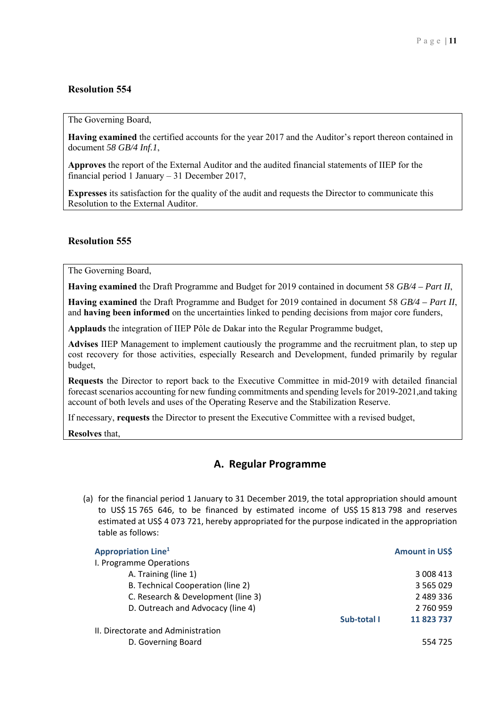The Governing Board,

**Having examined** the certified accounts for the year 2017 and the Auditor's report thereon contained in document *58 GB/4 Inf.1*,

**Approves** the report of the External Auditor and the audited financial statements of IIEP for the financial period 1 January – 31 December 2017,

**Expresses** its satisfaction for the quality of the audit and requests the Director to communicate this Resolution to the External Auditor.

### **Resolution 555**

The Governing Board,

**Having examined** the Draft Programme and Budget for 2019 contained in document 58 *GB/4 – Part II*,

**Having examined** the Draft Programme and Budget for 2019 contained in document 58 *GB/4 – Part II*, and **having been informed** on the uncertainties linked to pending decisions from major core funders,

**Applauds** the integration of IIEP Pôle de Dakar into the Regular Programme budget,

**Advises** IIEP Management to implement cautiously the programme and the recruitment plan, to step up cost recovery for those activities, especially Research and Development, funded primarily by regular budget,

**Requests** the Director to report back to the Executive Committee in mid-2019 with detailed financial forecast scenarios accounting for new funding commitments and spending levels for 2019-2021,and taking account of both levels and uses of the Operating Reserve and the Stabilization Reserve.

If necessary, **requests** the Director to present the Executive Committee with a revised budget,

**Resolves** that,

# **A. Regular Programme**

(a) for the financial period 1 January to 31 December 2019, the total appropriation should amount to US\$ 15 765 646, to be financed by estimated income of US\$ 15 813 798 and reserves estimated at US\$ 4 073 721, hereby appropriated for the purpose indicated in the appropriation table as follows:

| <b>Appropriation Line</b> <sup>1</sup> |             | Amount in US\$ |
|----------------------------------------|-------------|----------------|
| I. Programme Operations                |             |                |
| A. Training (line 1)                   |             | 3 008 413      |
| B. Technical Cooperation (line 2)      |             | 3 5 6 5 0 2 9  |
| C. Research & Development (line 3)     |             | 2 489 336      |
| D. Outreach and Advocacy (line 4)      |             | 2 760 959      |
|                                        | Sub-total I | 11 823 737     |
| II. Directorate and Administration     |             |                |
| D. Governing Board                     |             | 554 725        |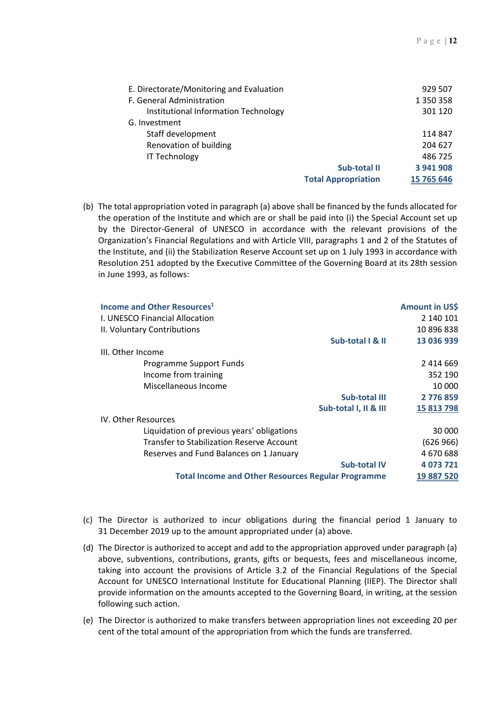| E. Directorate/Monitoring and Evaluation |                            | 929 507    |
|------------------------------------------|----------------------------|------------|
| F. General Administration                |                            | 1 350 358  |
| Institutional Information Technology     |                            | 301 120    |
| G. Investment                            |                            |            |
| Staff development                        |                            | 114 847    |
| Renovation of building                   |                            | 204 627    |
| <b>IT Technology</b>                     |                            | 486 725    |
|                                          | Sub-total II               | 3 941 908  |
|                                          | <b>Total Appropriation</b> | 15 765 646 |

(b) The total appropriation voted in paragraph (a) above shall be financed by the funds allocated for the operation of the Institute and which are or shall be paid into (i) the Special Account set up by the Director-General of UNESCO in accordance with the relevant provisions of the Organization's Financial Regulations and with Article VIII, paragraphs 1 and 2 of the Statutes of the Institute, and (ii) the Stabilization Reserve Account set up on 1 July 1993 in accordance with Resolution 251 adopted by the Executive Committee of the Governing Board at its 28th session in June 1993, as follows:

| Income and Other Resources <sup>1</sup>                   |                       | Amount in US\$ |
|-----------------------------------------------------------|-----------------------|----------------|
| I. UNESCO Financial Allocation                            |                       | 2 140 101      |
| II. Voluntary Contributions                               |                       | 10 896 838     |
|                                                           | Sub-total   & II      | 13 036 939     |
| III. Other Income                                         |                       |                |
| Programme Support Funds                                   |                       | 2 414 669      |
| Income from training                                      |                       | 352 190        |
| Miscellaneous Income                                      |                       | 10 000         |
|                                                           | <b>Sub-total III</b>  | 2776859        |
|                                                           | Sub-total I, II & III | 15 813 798     |
| IV. Other Resources                                       |                       |                |
| Liquidation of previous years' obligations                |                       | 30 000         |
| Transfer to Stabilization Reserve Account                 |                       | (626966)       |
| Reserves and Fund Balances on 1 January                   |                       | 4 670 688      |
|                                                           | <b>Sub-total IV</b>   | 4 073 721      |
| <b>Total Income and Other Resources Regular Programme</b> |                       | 19 887 520     |
|                                                           |                       |                |

- (c) The Director is authorized to incur obligations during the financial period 1 January to 31 December 2019 up to the amount appropriated under (a) above.
- (d) The Director is authorized to accept and add to the appropriation approved under paragraph (a) above, subventions, contributions, grants, gifts or bequests, fees and miscellaneous income, taking into account the provisions of Article 3.2 of the Financial Regulations of the Special Account for UNESCO International Institute for Educational Planning (IIEP). The Director shall provide information on the amounts accepted to the Governing Board, in writing, at the session following such action.
- (e) The Director is authorized to make transfers between appropriation lines not exceeding 20 per cent of the total amount of the appropriation from which the funds are transferred.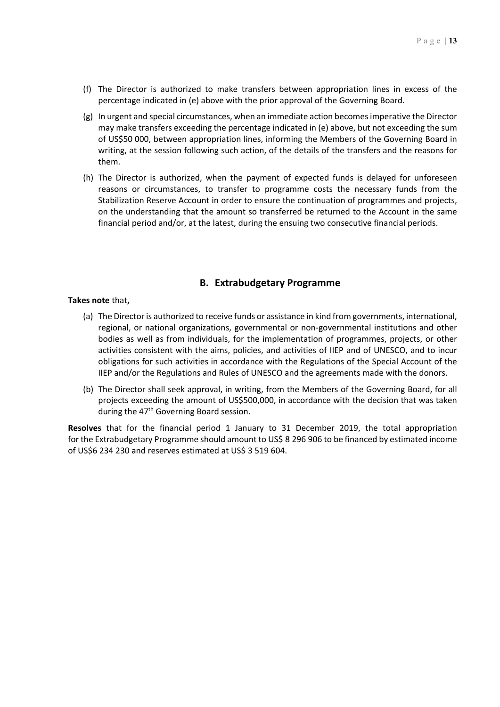- (f) The Director is authorized to make transfers between appropriation lines in excess of the percentage indicated in (e) above with the prior approval of the Governing Board.
- (g) In urgent and special circumstances, when an immediate action becomes imperative the Director may make transfers exceeding the percentage indicated in (e) above, but not exceeding the sum of US\$50 000, between appropriation lines, informing the Members of the Governing Board in writing, at the session following such action, of the details of the transfers and the reasons for them.
- (h) The Director is authorized, when the payment of expected funds is delayed for unforeseen reasons or circumstances, to transfer to programme costs the necessary funds from the Stabilization Reserve Account in order to ensure the continuation of programmes and projects, on the understanding that the amount so transferred be returned to the Account in the same financial period and/or, at the latest, during the ensuing two consecutive financial periods.

## **B. Extrabudgetary Programme**

#### **Takes note** that**,**

- (a) The Director is authorized to receive funds or assistance in kind from governments, international, regional, or national organizations, governmental or non‐governmental institutions and other bodies as well as from individuals, for the implementation of programmes, projects, or other activities consistent with the aims, policies, and activities of IIEP and of UNESCO, and to incur obligations for such activities in accordance with the Regulations of the Special Account of the IIEP and/or the Regulations and Rules of UNESCO and the agreements made with the donors.
- (b) The Director shall seek approval, in writing, from the Members of the Governing Board, for all projects exceeding the amount of US\$500,000, in accordance with the decision that was taken during the  $47<sup>th</sup>$  Governing Board session.

**Resolves** that for the financial period 1 January to 31 December 2019, the total appropriation for the Extrabudgetary Programme should amount to US\$ 8 296 906 to be financed by estimated income of US\$6 234 230 and reserves estimated at US\$ 3 519 604.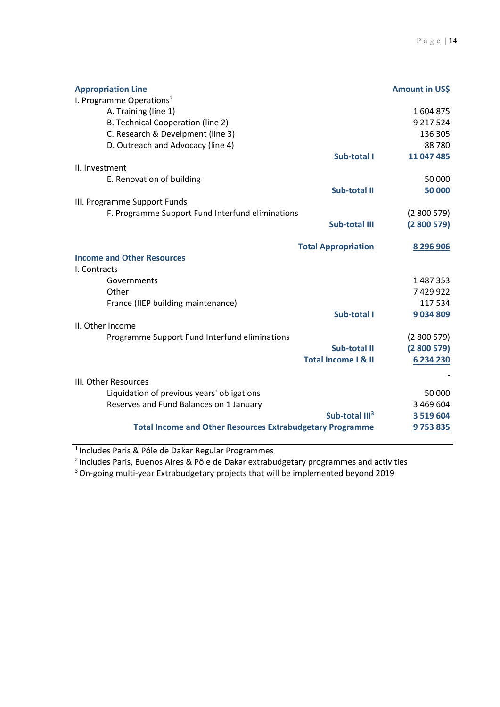| <b>Appropriation Line</b><br>I. Programme Operations <sup>2</sup> | Amount in US\$ |
|-------------------------------------------------------------------|----------------|
| A. Training (line 1)                                              | 1604875        |
| B. Technical Cooperation (line 2)                                 | 9 217 524      |
| C. Research & Develpment (line 3)                                 | 136 305        |
| D. Outreach and Advocacy (line 4)                                 | 88780          |
| Sub-total I                                                       | 11 047 485     |
| II. Investment                                                    |                |
| E. Renovation of building                                         | 50 000         |
| Sub-total II                                                      | 50 000         |
| III. Programme Support Funds                                      |                |
| F. Programme Support Fund Interfund eliminations                  | (2800579)      |
| <b>Sub-total III</b>                                              | (2800579)      |
| <b>Total Appropriation</b>                                        | 8 296 906      |
| <b>Income and Other Resources</b>                                 |                |
| I. Contracts                                                      |                |
| Governments                                                       | 1 487 353      |
| Other                                                             | 7429922        |
| France (IIEP building maintenance)                                | 117 534        |
| Sub-total I                                                       | 9034809        |
| II. Other Income                                                  |                |
| Programme Support Fund Interfund eliminations                     | (2800579)      |
| Sub-total II                                                      | (2800579)      |
| <b>Total Income I &amp; II</b>                                    | 6 234 230      |
| III. Other Resources                                              |                |
| Liquidation of previous years' obligations                        | 50 000         |
| Reserves and Fund Balances on 1 January                           | 3 469 604      |
| Sub-total III <sup>3</sup>                                        | 3 5 1 9 6 0 4  |
| <b>Total Income and Other Resources Extrabudgetary Programme</b>  | 9753835        |

1 Includes Paris & Pôle de Dakar Regular Programmes

<sup>2</sup> Includes Paris, Buenos Aires & Pôle de Dakar extrabudgetary programmes and activities

<sup>3</sup> On-going multi-year Extrabudgetary projects that will be implemented beyond 2019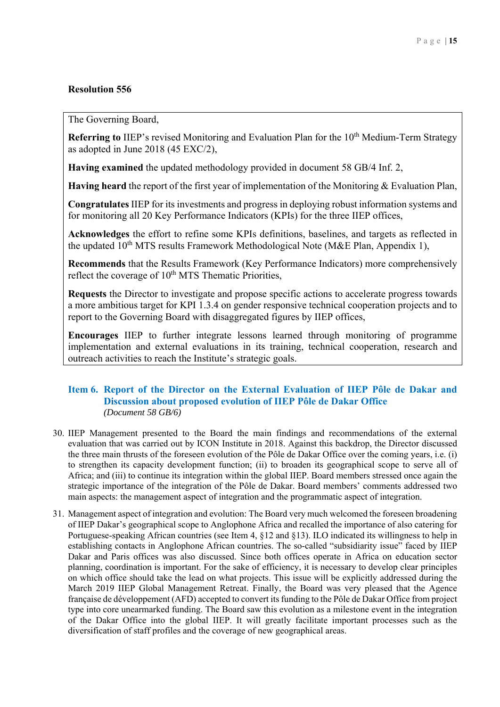The Governing Board,

**Referring to IIEP's revised Monitoring and Evaluation Plan for the 10<sup>th</sup> Medium-Term Strategy** as adopted in June 2018 (45 EXC/2),

**Having examined** the updated methodology provided in document 58 GB/4 Inf. 2,

**Having heard** the report of the first year of implementation of the Monitoring & Evaluation Plan,

**Congratulates** IIEP for its investments and progress in deploying robust information systems and for monitoring all 20 Key Performance Indicators (KPIs) for the three IIEP offices,

**Acknowledges** the effort to refine some KPIs definitions, baselines, and targets as reflected in the updated  $10^{th}$  MTS results Framework Methodological Note (M&E Plan, Appendix 1),

**Recommends** that the Results Framework (Key Performance Indicators) more comprehensively reflect the coverage of 10<sup>th</sup> MTS Thematic Priorities,

**Requests** the Director to investigate and propose specific actions to accelerate progress towards a more ambitious target for KPI 1.3.4 on gender responsive technical cooperation projects and to report to the Governing Board with disaggregated figures by IIEP offices,

**Encourages** IIEP to further integrate lessons learned through monitoring of programme implementation and external evaluations in its training, technical cooperation, research and outreach activities to reach the Institute's strategic goals.

# **Item 6. Report of the Director on the External Evaluation of IIEP Pôle de Dakar and Discussion about proposed evolution of IIEP Pôle de Dakar Office**   *(Document 58 GB/6)*

- 30. IIEP Management presented to the Board the main findings and recommendations of the external evaluation that was carried out by ICON Institute in 2018. Against this backdrop, the Director discussed the three main thrusts of the foreseen evolution of the Pôle de Dakar Office over the coming years, i.e. (i) to strengthen its capacity development function; (ii) to broaden its geographical scope to serve all of Africa; and (iii) to continue its integration within the global IIEP. Board members stressed once again the strategic importance of the integration of the Pôle de Dakar. Board members' comments addressed two main aspects: the management aspect of integration and the programmatic aspect of integration.
- 31. Management aspect of integration and evolution: The Board very much welcomed the foreseen broadening of IIEP Dakar's geographical scope to Anglophone Africa and recalled the importance of also catering for Portuguese-speaking African countries (see Item 4, §12 and §13). ILO indicated its willingness to help in establishing contacts in Anglophone African countries. The so-called "subsidiarity issue" faced by IIEP Dakar and Paris offices was also discussed. Since both offices operate in Africa on education sector planning, coordination is important. For the sake of efficiency, it is necessary to develop clear principles on which office should take the lead on what projects. This issue will be explicitly addressed during the March 2019 IIEP Global Management Retreat. Finally, the Board was very pleased that the Agence française de développement (AFD) accepted to convert its funding to the Pôle de Dakar Office from project type into core unearmarked funding. The Board saw this evolution as a milestone event in the integration of the Dakar Office into the global IIEP. It will greatly facilitate important processes such as the diversification of staff profiles and the coverage of new geographical areas.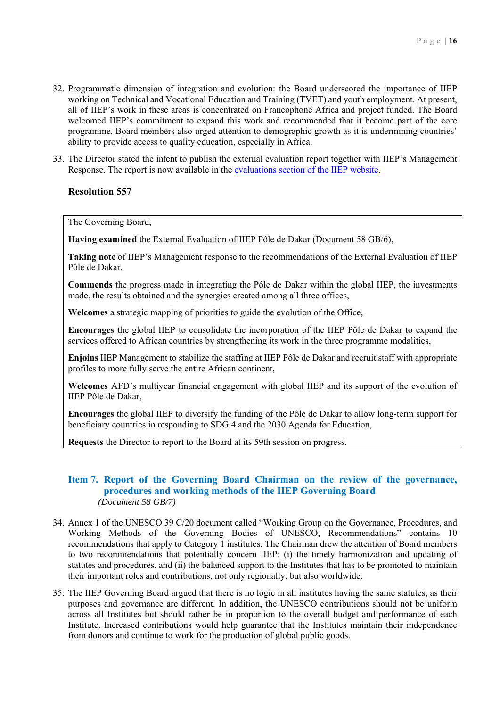- 32. Programmatic dimension of integration and evolution: the Board underscored the importance of IIEP working on Technical and Vocational Education and Training (TVET) and youth employment. At present, all of IIEP's work in these areas is concentrated on Francophone Africa and project funded. The Board welcomed IIEP's commitment to expand this work and recommended that it become part of the core programme. Board members also urged attention to demographic growth as it is undermining countries' ability to provide access to quality education, especially in Africa.
- 33. The Director stated the intent to publish the external evaluation report together with IIEP's Management Response. The report is now available in the evaluations section of the IIEP website.

The Governing Board,

**Having examined** the External Evaluation of IIEP Pôle de Dakar (Document 58 GB/6),

**Taking note** of IIEP's Management response to the recommendations of the External Evaluation of IIEP Pôle de Dakar,

**Commends** the progress made in integrating the Pôle de Dakar within the global IIEP, the investments made, the results obtained and the synergies created among all three offices,

**Welcomes** a strategic mapping of priorities to guide the evolution of the Office,

**Encourages** the global IIEP to consolidate the incorporation of the IIEP Pôle de Dakar to expand the services offered to African countries by strengthening its work in the three programme modalities,

**Enjoins** IIEP Management to stabilize the staffing at IIEP Pôle de Dakar and recruit staff with appropriate profiles to more fully serve the entire African continent,

**Welcomes** AFD's multiyear financial engagement with global IIEP and its support of the evolution of IIEP Pôle de Dakar,

**Encourages** the global IIEP to diversify the funding of the Pôle de Dakar to allow long-term support for beneficiary countries in responding to SDG 4 and the 2030 Agenda for Education,

**Requests** the Director to report to the Board at its 59th session on progress.

### **Item 7. Report of the Governing Board Chairman on the review of the governance, procedures and working methods of the IIEP Governing Board**  *(Document 58 GB/7)*

- 34. Annex 1 of the UNESCO 39 C/20 document called "Working Group on the Governance, Procedures, and Working Methods of the Governing Bodies of UNESCO, Recommendations" contains 10 recommendations that apply to Category 1 institutes. The Chairman drew the attention of Board members to two recommendations that potentially concern IIEP: (i) the timely harmonization and updating of statutes and procedures, and (ii) the balanced support to the Institutes that has to be promoted to maintain their important roles and contributions, not only regionally, but also worldwide.
- 35. The IIEP Governing Board argued that there is no logic in all institutes having the same statutes, as their purposes and governance are different. In addition, the UNESCO contributions should not be uniform across all Institutes but should rather be in proportion to the overall budget and performance of each Institute. Increased contributions would help guarantee that the Institutes maintain their independence from donors and continue to work for the production of global public goods.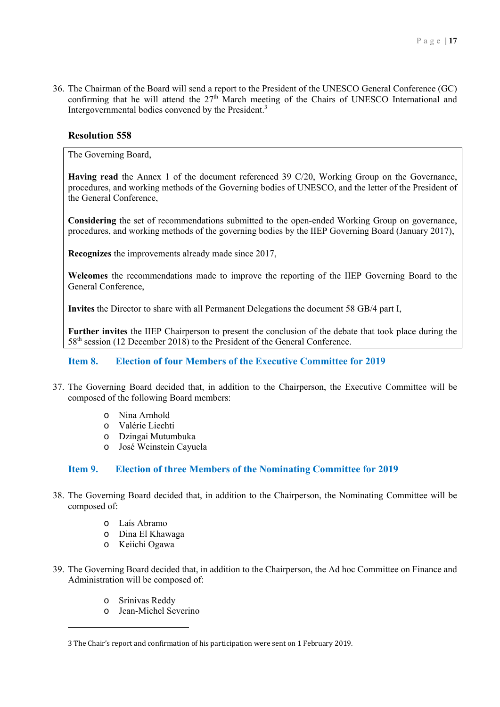36. The Chairman of the Board will send a report to the President of the UNESCO General Conference (GC) confirming that he will attend the  $27<sup>th</sup>$  March meeting of the Chairs of UNESCO International and Intergovernmental bodies convened by the President.<sup>3</sup>

# **Resolution 558**

The Governing Board,

**Having read** the Annex 1 of the document referenced 39 C/20, Working Group on the Governance, procedures, and working methods of the Governing bodies of UNESCO, and the letter of the President of the General Conference,

**Considering** the set of recommendations submitted to the open-ended Working Group on governance, procedures, and working methods of the governing bodies by the IIEP Governing Board (January 2017),

**Recognizes** the improvements already made since 2017,

**Welcomes** the recommendations made to improve the reporting of the IIEP Governing Board to the General Conference,

**Invites** the Director to share with all Permanent Delegations the document 58 GB/4 part I,

**Further invites** the IIEP Chairperson to present the conclusion of the debate that took place during the 58<sup>th</sup> session (12 December 2018) to the President of the General Conference.

## **Item 8. Election of four Members of the Executive Committee for 2019**

- 37. The Governing Board decided that, in addition to the Chairperson, the Executive Committee will be composed of the following Board members:
	- o Nina Arnhold
	- o Valérie Liechti
	- o Dzingai Mutumbuka
	- o José Weinstein Cayuela

# **Item 9. Election of three Members of the Nominating Committee for 2019**

- 38. The Governing Board decided that, in addition to the Chairperson, the Nominating Committee will be composed of:
	- o Laís Abramo
	- o Dina El Khawaga
	- o Keiichi Ogawa
- 39. The Governing Board decided that, in addition to the Chairperson, the Ad hoc Committee on Finance and Administration will be composed of:
	- o Srinivas Reddy

<u>.</u>

o Jean-Michel Severino

<sup>3</sup> The Chair's report and confirmation of his participation were sent on 1 February 2019.